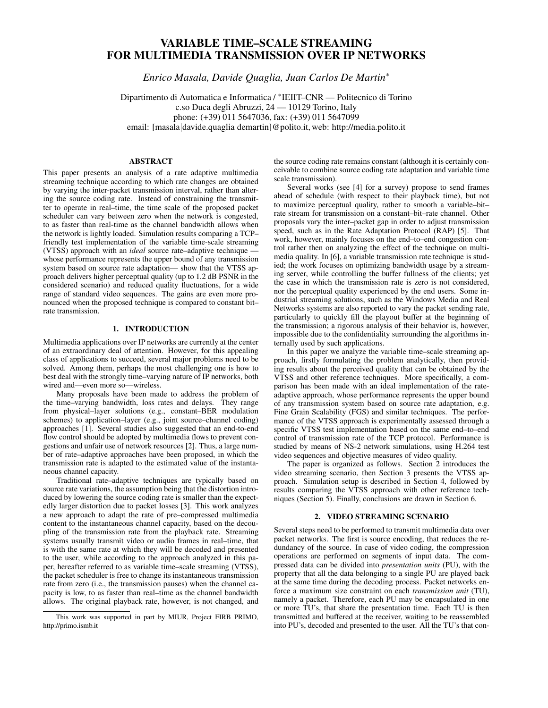# VARIABLE TIME–SCALE STREAMING FOR MULTIMEDIA TRANSMISSION OVER IP NETWORKS

*Enrico Masala, Davide Quaglia, Juan Carlos De Martin*<sup>∗</sup>

Dipartimento di Automatica e Informatica / ∗ IEIIT–CNR — Politecnico di Torino c.so Duca degli Abruzzi, 24 — 10129 Torino, Italy phone: (+39) 011 5647036, fax: (+39) 011 5647099 email: [masala|davide.quaglia|demartin]@polito.it, web: http://media.polito.it

## ABSTRACT

This paper presents an analysis of a rate adaptive multimedia streaming technique according to which rate changes are obtained by varying the inter-packet transmission interval, rather than altering the source coding rate. Instead of constraining the transmitter to operate in real–time, the time scale of the proposed packet scheduler can vary between zero when the network is congested, to as faster than real-time as the channel bandwidth allows when the network is lightly loaded. Simulation results comparing a TCP– friendly test implementation of the variable time-scale streaming (VTSS) approach with an *ideal* source rate–adaptive technique whose performance represents the upper bound of any transmission system based on source rate adaptation— show that the VTSS approach delivers higher perceptual quality (up to 1.2 dB PSNR in the considered scenario) and reduced quality fluctuations, for a wide range of standard video sequences. The gains are even more pronounced when the proposed technique is compared to constant bit– rate transmission.

## 1. INTRODUCTION

Multimedia applications over IP networks are currently at the center of an extraordinary deal of attention. However, for this appealing class of applications to succeed, several major problems need to be solved. Among them, perhaps the most challenging one is how to best deal with the strongly time–varying nature of IP networks, both wired and—even more so—wireless.

Many proposals have been made to address the problem of the time–varying bandwidth, loss rates and delays. They range from physical–layer solutions (e.g., constant–BER modulation schemes) to application–layer (e.g., joint source–channel coding) approaches [1]. Several studies also suggested that an end-to-end flow control should be adopted by multimedia flows to prevent congestions and unfair use of network resources [2]. Thus, a large number of rate–adaptive approaches have been proposed, in which the transmission rate is adapted to the estimated value of the instantaneous channel capacity.

Traditional rate–adaptive techniques are typically based on source rate variations, the assumption being that the distortion introduced by lowering the source coding rate is smaller than the expectedly larger distortion due to packet losses [3]. This work analyzes a new approach to adapt the rate of pre–compressed multimedia content to the instantaneous channel capacity, based on the decoupling of the transmission rate from the playback rate. Streaming systems usually transmit video or audio frames in real–time, that is with the same rate at which they will be decoded and presented to the user, while according to the approach analyzed in this paper, hereafter referred to as variable time–scale streaming (VTSS), the packet scheduler is free to change its instantaneous transmission rate from zero (i.e., the transmission pauses) when the channel capacity is low, to as faster than real–time as the channel bandwidth allows. The original playback rate, however, is not changed, and the source coding rate remains constant (although it is certainly conceivable to combine source coding rate adaptation and variable time scale transmission).

Several works (see [4] for a survey) propose to send frames ahead of schedule (with respect to their playback time), but not to maximize perceptual quality, rather to smooth a variable–bit– rate stream for transmission on a constant–bit–rate channel. Other proposals vary the inter–packet gap in order to adjust transmission speed, such as in the Rate Adaptation Protocol (RAP) [5]. That work, however, mainly focuses on the end–to–end congestion control rather then on analyzing the effect of the technique on multimedia quality. In [6], a variable transmission rate technique is studied; the work focuses on optimizing bandwidth usage by a streaming server, while controlling the buffer fullness of the clients; yet the case in which the transmission rate is zero is not considered, nor the perceptual quality experienced by the end users. Some industrial streaming solutions, such as the Windows Media and Real Networks systems are also reported to vary the packet sending rate, particularly to quickly fill the playout buffer at the beginning of the transmission; a rigorous analysis of their behavior is, however, impossible due to the confidentiality surrounding the algorithms internally used by such applications.

In this paper we analyze the variable time–scale streaming approach, firstly formulating the problem analytically, then providing results about the perceived quality that can be obtained by the VTSS and other reference techniques. More specifically, a comparison has been made with an ideal implementation of the rateadaptive approach, whose performance represents the upper bound of any transmission system based on source rate adaptation, e.g. Fine Grain Scalability (FGS) and similar techniques. The performance of the VTSS approach is experimentally assessed through a specific VTSS test implementation based on the same end–to–end control of transmission rate of the TCP protocol. Performance is studied by means of NS-2 network simulations, using H.264 test video sequences and objective measures of video quality.

The paper is organized as follows. Section 2 introduces the video streaming scenario, then Section 3 presents the VTSS approach. Simulation setup is described in Section 4, followed by results comparing the VTSS approach with other reference techniques (Section 5). Finally, conclusions are drawn in Section 6.

## 2. VIDEO STREAMING SCENARIO

Several steps need to be performed to transmit multimedia data over packet networks. The first is source encoding, that reduces the redundancy of the source. In case of video coding, the compression operations are performed on segments of input data. The compressed data can be divided into *presentation units* (PU), with the property that all the data belonging to a single PU are played back at the same time during the decoding process. Packet networks enforce a maximum size constraint on each *transmission unit* (TU), namely a packet. Therefore, each PU may be encapsulated in one or more TU's, that share the presentation time. Each TU is then transmitted and buffered at the receiver, waiting to be reassembled into PU's, decoded and presented to the user. All the TU's that con-

This work was supported in part by MIUR, Project FIRB PRIMO, http://primo.ismb.it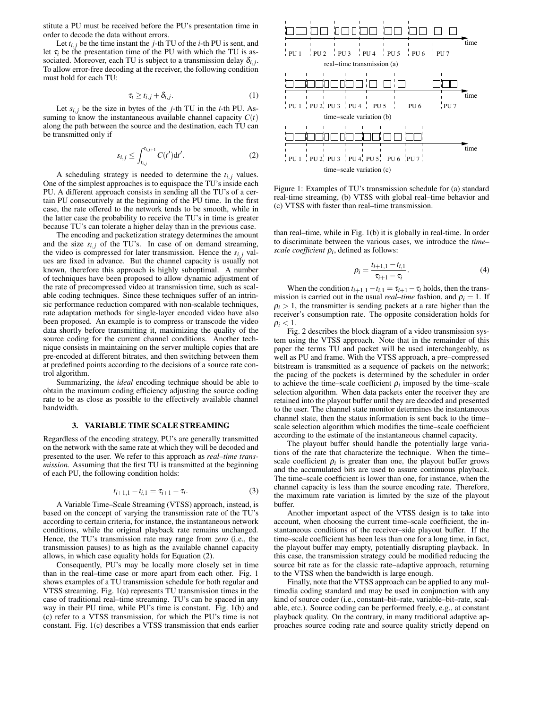stitute a PU must be received before the PU's presentation time in order to decode the data without errors.

Let  $t_{i,j}$  be the time instant the *j*-th TU of the *i*-th PU is sent, and let  $\tau_i$  be the presentation time of the PU with which the TU is associated. Moreover, each TU is subject to a transmission delay  $\delta_{i,j}$ . To allow error-free decoding at the receiver, the following condition must hold for each TU:

$$
\tau_i \geq t_{i,j} + \delta_{i,j}.\tag{1}
$$

Let  $s_{i,j}$  be the size in bytes of the *j*-th TU in the *i*-th PU. Assuming to know the instantaneous available channel capacity  $C(t)$ along the path between the source and the destination, each TU can be transmitted only if

$$
s_{i,j} \le \int_{t_{i,j}}^{t_{i,j+1}} C(t') dt'.
$$
 (2)

A scheduling strategy is needed to determine the  $t_{i,j}$  values. One of the simplest approaches is to equispace the TU's inside each PU. A different approach consists in sending all the TU's of a certain PU consecutively at the beginning of the PU time. In the first case, the rate offered to the network tends to be smooth, while in the latter case the probability to receive the TU's in time is greater because TU's can tolerate a higher delay than in the previous case.

The encoding and packetization strategy determines the amount and the size  $s_{i,j}$  of the TU's. In case of on demand streaming, the video is compressed for later transmission. Hence the  $s_{i,j}$  values are fixed in advance. But the channel capacity is usually not known, therefore this approach is highly suboptimal. A number of techniques have been proposed to allow dynamic adjustment of the rate of precompressed video at transmission time, such as scalable coding techniques. Since these techniques suffer of an intrinsic performance reduction compared with non-scalable techniques, rate adaptation methods for single-layer encoded video have also been proposed. An example is to compress or transcode the video data shortly before transmitting it, maximizing the quality of the source coding for the current channel conditions. Another technique consists in maintaining on the server multiple copies that are pre-encoded at different bitrates, and then switching between them at predefined points according to the decisions of a source rate control algorithm.

Summarizing, the *ideal* encoding technique should be able to obtain the maximum coding efficiency adjusting the source coding rate to be as close as possible to the effectively available channel bandwidth.

#### 3. VARIABLE TIME SCALE STREAMING

Regardless of the encoding strategy, PU's are generally transmitted on the network with the same rate at which they will be decoded and presented to the user. We refer to this approach as *real–time transmission*. Assuming that the first TU is transmitted at the beginning of each PU, the following condition holds:

$$
t_{i+1,1} - t_{i,1} = \tau_{i+1} - \tau_i.
$$
 (3)

A Variable Time–Scale Streaming (VTSS) approach, instead, is based on the concept of varying the transmission rate of the TU's according to certain criteria, for instance, the instantaneous network conditions, while the original playback rate remains unchanged. Hence, the TU's transmission rate may range from *zero* (i.e., the transmission pauses) to as high as the available channel capacity allows, in which case equality holds for Equation (2).

Consequently, PU's may be locally more closely set in time than in the real–time case or more apart from each other. Fig. 1 shows examples of a TU transmission schedule for both regular and VTSS streaming. Fig. 1(a) represents TU transmission times in the case of traditional real–time streaming. TU's can be spaced in any way in their PU time, while PU's time is constant. Fig. 1(b) and (c) refer to a VTSS transmission, for which the PU's time is not constant. Fig. 1(c) describes a VTSS transmission that ends earlier



Figure 1: Examples of TU's transmission schedule for (a) standard real-time streaming, (b) VTSS with global real–time behavior and (c) VTSS with faster than real–time transmission.

than real–time, while in Fig. 1(b) it is globally in real-time. In order to discriminate between the various cases, we introduce the *time– scale coefficient* <sup>ρ</sup>*i* , defined as follows:

$$
\rho_i = \frac{t_{i+1,1} - t_{i,1}}{\tau_{i+1} - \tau_i}.
$$
\n(4)

When the condition  $t_{i+1,1} - t_{i,1} = \tau_{i+1} - \tau_i$  holds, then the transmission is carried out in the usual *real–time* fashion, and  $\rho_i = 1$ . If  $\rho_i > 1$ , the transmitter is sending packets at a rate higher than the receiver's consumption rate. The opposite consideration holds for  $\rho_i < 1$ .

Fig. 2 describes the block diagram of a video transmission system using the VTSS approach. Note that in the remainder of this paper the terms TU and packet will be used interchangeably, as well as PU and frame. With the VTSS approach, a pre–compressed bitstream is transmitted as a sequence of packets on the network; the pacing of the packets is determined by the scheduler in order to achieve the time–scale coefficient  $\rho_i$  imposed by the time–scale selection algorithm. When data packets enter the receiver they are retained into the playout buffer until they are decoded and presented to the user. The channel state monitor determines the instantaneous channel state, then the status information is sent back to the time– scale selection algorithm which modifies the time–scale coefficient according to the estimate of the instantaneous channel capacity.

The playout buffer should handle the potentially large variations of the rate that characterize the technique. When the time– scale coefficient  $\rho_i$  is greater than one, the playout buffer grows and the accumulated bits are used to assure continuous playback. The time–scale coefficient is lower than one, for instance, when the channel capacity is less than the source encoding rate. Therefore, the maximum rate variation is limited by the size of the playout buffer.

Another important aspect of the VTSS design is to take into account, when choosing the current time–scale coefficient, the instantaneous conditions of the receiver–side playout buffer. If the time–scale coefficient has been less than one for a long time, in fact, the playout buffer may empty, potentially disrupting playback. In this case, the transmission strategy could be modified reducing the source bit rate as for the classic rate–adaptive approach, returning to the VTSS when the bandwidth is large enough.

Finally, note that the VTSS approach can be applied to any multimedia coding standard and may be used in conjunction with any kind of source coder (i.e., constant–bit–rate, variable–bit–rate, scalable, etc.). Source coding can be performed freely, e.g., at constant playback quality. On the contrary, in many traditional adaptive approaches source coding rate and source quality strictly depend on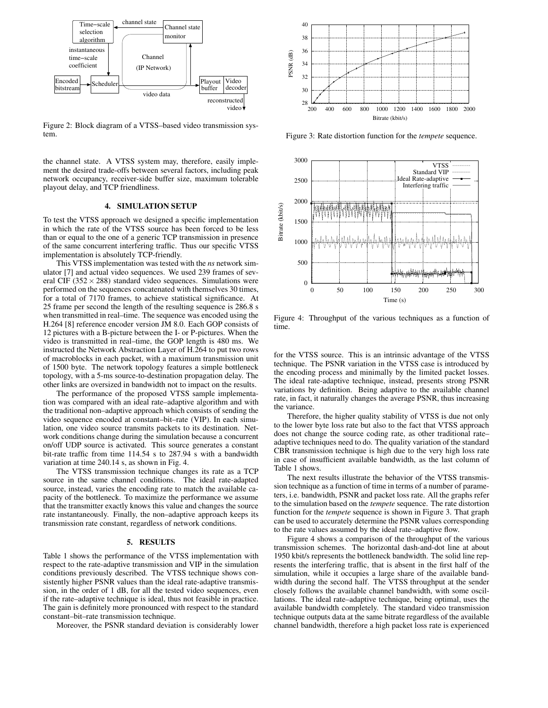

Figure 2: Block diagram of a VTSS–based video transmission system.

the channel state. A VTSS system may, therefore, easily implement the desired trade-offs between several factors, including peak network occupancy, receiver-side buffer size, maximum tolerable playout delay, and TCP friendliness.

#### 4. SIMULATION SETUP

To test the VTSS approach we designed a specific implementation in which the rate of the VTSS source has been forced to be less than or equal to the one of a generic TCP transmission in presence of the same concurrent interfering traffic. Thus our specific VTSS implementation is absolutely TCP-friendly.

This VTSS implementation was tested with the *ns* network simulator [7] and actual video sequences. We used 239 frames of several CIF ( $352 \times 288$ ) standard video sequences. Simulations were performed on the sequences concatenated with themselves 30 times, for a total of 7170 frames, to achieve statistical significance. At 25 frame per second the length of the resulting sequence is 286.8 s when transmitted in real–time. The sequence was encoded using the H.264 [8] reference encoder version JM 8.0. Each GOP consists of 12 pictures with a B-picture between the I- or P-pictures. When the video is transmitted in real–time, the GOP length is 480 ms. We instructed the Network Abstraction Layer of H.264 to put two rows of macroblocks in each packet, with a maximum transmission unit of 1500 byte. The network topology features a simple bottleneck topology, with a 5-ms source-to-destination propagation delay. The other links are oversized in bandwidth not to impact on the results.

The performance of the proposed VTSS sample implementation was compared with an ideal rate–adaptive algorithm and with the traditional non–adaptive approach which consists of sending the video sequence encoded at constant–bit–rate (VIP). In each simulation, one video source transmits packets to its destination. Network conditions change during the simulation because a concurrent on/off UDP source is activated. This source generates a constant bit-rate traffic from time 114.54 s to 287.94 s with a bandwidth variation at time 240.14 s, as shown in Fig. 4.

The VTSS transmission technique changes its rate as a TCP source in the same channel conditions. The ideal rate-adapted source, instead, varies the encoding rate to match the available capacity of the bottleneck. To maximize the performance we assume that the transmitter exactly knows this value and changes the source rate instantaneously. Finally, the non–adaptive approach keeps its transmission rate constant, regardless of network conditions.

#### 5. RESULTS

Table 1 shows the performance of the VTSS implementation with respect to the rate-adaptive transmission and VIP in the simulation conditions previously described. The VTSS technique shows consistently higher PSNR values than the ideal rate-adaptive transmission, in the order of 1 dB, for all the tested video sequences, even if the rate–adaptive technique is ideal, thus not feasible in practice. The gain is definitely more pronounced with respect to the standard constant–bit–rate transmission technique.

Moreover, the PSNR standard deviation is considerably lower



Figure 3: Rate distortion function for the *tempete* sequence.



Figure 4: Throughput of the various techniques as a function of time.

for the VTSS source. This is an intrinsic advantage of the VTSS technique. The PSNR variation in the VTSS case is introduced by the encoding process and minimally by the limited packet losses. The ideal rate-adaptive technique, instead, presents strong PSNR variations by definition. Being adaptive to the available channel rate, in fact, it naturally changes the average PSNR, thus increasing the variance.

Therefore, the higher quality stability of VTSS is due not only to the lower byte loss rate but also to the fact that VTSS approach does not change the source coding rate, as other traditional rate– adaptive techniques need to do. The quality variation of the standard CBR transmission technique is high due to the very high loss rate in case of insufficient available bandwidth, as the last column of Table 1 shows.

The next results illustrate the behavior of the VTSS transmission technique as a function of time in terms of a number of parameters, i.e. bandwidth, PSNR and packet loss rate. All the graphs refer to the simulation based on the *tempete* sequence. The rate distortion function for the *tempete* sequence is shown in Figure 3. That graph can be used to accurately determine the PSNR values corresponding to the rate values assumed by the ideal rate–adaptive flow.

Figure 4 shows a comparison of the throughput of the various transmission schemes. The horizontal dash-and-dot line at about 1950 kbit/s represents the bottleneck bandwidth. The solid line represents the interfering traffic, that is absent in the first half of the simulation, while it occupies a large share of the available bandwidth during the second half. The VTSS throughput at the sender closely follows the available channel bandwidth, with some oscillations. The ideal rate–adaptive technique, being optimal, uses the available bandwidth completely. The standard video transmission technique outputs data at the same bitrate regardless of the available channel bandwidth, therefore a high packet loss rate is experienced